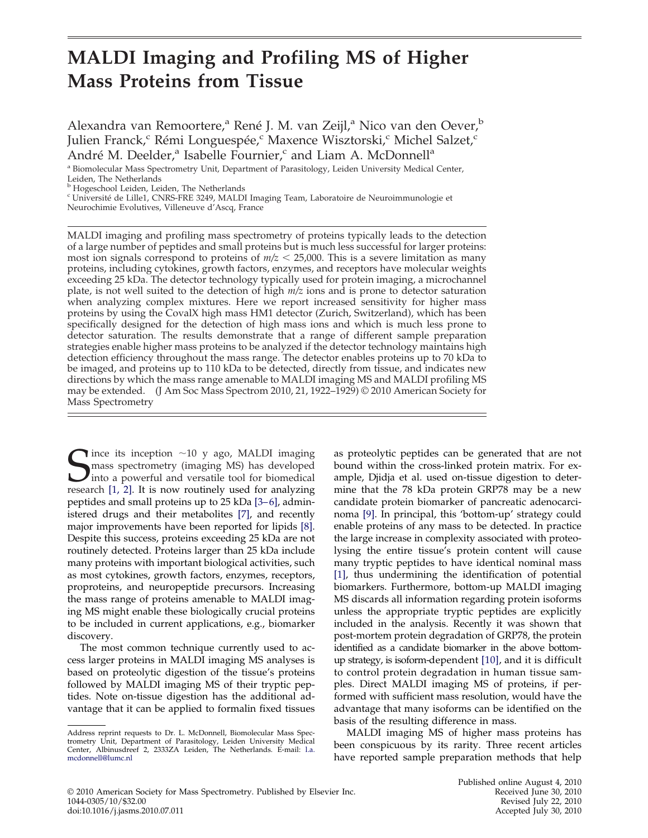# **MALDI Imaging and Profiling MS of Higher Mass Proteins from Tissue**

Alexandra van Remoortere,<sup>a</sup> René J. M. van Zeijl,<sup>a</sup> Nico van den Oever,<sup>b</sup> Julien Franck,<sup>c</sup> Rémi Longuespée,<sup>c</sup> Maxence Wisztorski,<sup>c</sup> Michel Salzet,<sup>c</sup> André M. Deelder,<sup>a</sup> Isabelle Fournier,<sup>c</sup> and Liam A. McDonnell<sup>a</sup>

 $^{\rm a}$  Biomolecular Mass Spectrometry Unit, Department of Parasitology, Leiden University Medical Center, Leiden, The Netherlands $^{\rm b}$  Hogeschool Leiden, Leiden, The Netherlands

<sup>c</sup> Université de Lille1, CNRS-FRE 3249, MALDI Imaging Team, Laboratoire de Neuroimmunologie et Neurochimie Evolutives, Villeneuve d'Ascq, France

MALDI imaging and profiling mass spectrometry of proteins typically leads to the detection of a large number of peptides and small proteins but is much less successful for larger proteins: most ion signals correspond to proteins of  $m/z < 25,000$ . This is a severe limitation as many proteins, including cytokines, growth factors, enzymes, and receptors have molecular weights exceeding 25 kDa. The detector technology typically used for protein imaging, a microchannel plate, is not well suited to the detection of high *m/z* ions and is prone to detector saturation when analyzing complex mixtures. Here we report increased sensitivity for higher mass proteins by using the CovalX high mass HM1 detector (Zurich, Switzerland), which has been specifically designed for the detection of high mass ions and which is much less prone to detector saturation. The results demonstrate that a range of different sample preparation strategies enable higher mass proteins to be analyzed if the detector technology maintains high detection efficiency throughout the mass range. The detector enables proteins up to 70 kDa to be imaged, and proteins up to 110 kDa to be detected, directly from tissue, and indicates new directions by which the mass range amenable to MALDI imaging MS and MALDI profiling MS may be extended. (J Am Soc Mass Spectrom 2010, 21, 1922–1929) © 2010 American Society for Mass Spectrometry

Gince its inception  $\sim$ 10 y ago, MALDI imaging mass spectrometry (imaging MS) has developed into a powerful and versatile tool for biomedical research [1, 2]. It is now routinely used for analyzing Tince its inception  $\sim$ 10 y ago, MALDI imaging mass spectrometry (imaging MS) has developed Into a powerful and versatile tool for biomedical peptides and small proteins up to 25 kDa [3-6], administered drugs and their metabolites [7], and recently major improvements have been reported for lipids [8]. Despite this success, proteins exceeding 25 kDa are not routinely detected. Proteins larger than 25 kDa include many proteins with important biological activities, such as most cytokines, growth factors, enzymes, receptors, proproteins, and neuropeptide precursors. Increasing the mass range of proteins amenable to MALDI imaging MS might enable these biologically crucial proteins to be included in current applications, e.g., biomarker discovery.

The most common technique currently used to access larger proteins in MALDI imaging MS analyses is based on proteolytic digestion of the tissue's proteins followed by MALDI imaging MS of their tryptic peptides. Note on-tissue digestion has the additional advantage that it can be applied to formalin fixed tissues

as proteolytic peptides can be generated that are not bound within the cross-linked protein matrix. For example, Djidja et al. used on-tissue digestion to determine that the 78 kDa protein GRP78 may be a new candidate protein biomarker of pancreatic adenocarcinoma [9]. In principal, this 'bottom-up' strategy could enable proteins of any mass to be detected. In practice the large increase in complexity associated with proteolysing the entire tissue's protein content will cause many tryptic peptides to have identical nominal mass [1], thus undermining the identification of potential biomarkers. Furthermore, bottom-up MALDI imaging MS discards all information regarding protein isoforms unless the appropriate tryptic peptides are explicitly included in the analysis. Recently it was shown that post-mortem protein degradation of GRP78, the protein identified as a candidate biomarker in the above bottomup strategy, is isoform-dependent [10], and it is difficult to control protein degradation in human tissue samples. Direct MALDI imaging MS of proteins, if performed with sufficient mass resolution, would have the advantage that many isoforms can be identified on the basis of the resulting difference in mass.

MALDI imaging MS of higher mass proteins has been conspicuous by its rarity. Three recent articles have reported sample preparation methods that help

Address reprint requests to Dr. L. McDonnell, Biomolecular Mass Spectrometry Unit, Department of Parasitology, Leiden University Medical Center, Albinusdreef 2, 2333ZA Leiden, The Netherlands. E-mail: l.a. mcdonnell@lumc.nl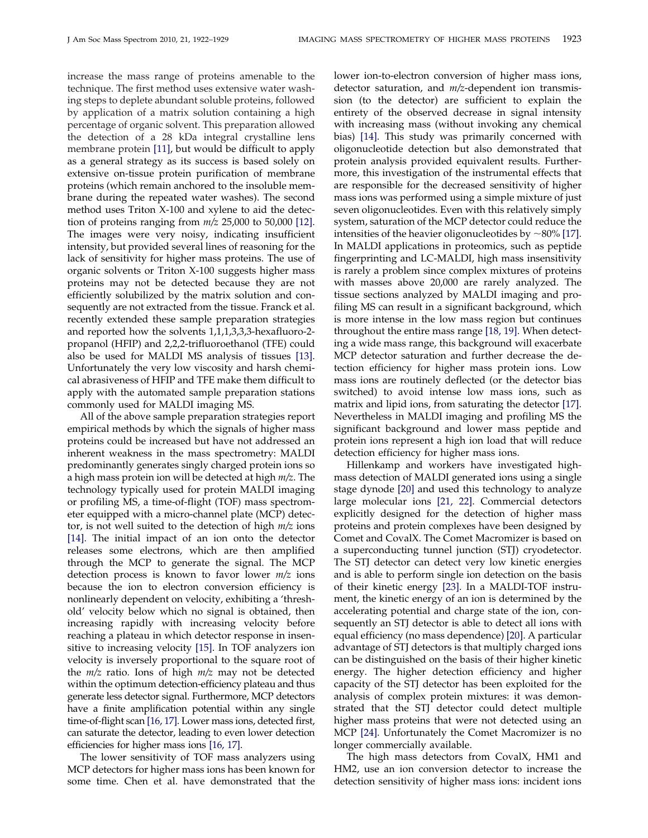increase the mass range of proteins amenable to the technique. The first method uses extensive water washing steps to deplete abundant soluble proteins, followed by application of a matrix solution containing a high percentage of organic solvent. This preparation allowed the detection of a 28 kDa integral crystalline lens membrane protein [11], but would be difficult to apply as a general strategy as its success is based solely on extensive on-tissue protein purification of membrane proteins (which remain anchored to the insoluble membrane during the repeated water washes). The second method uses Triton X-100 and xylene to aid the detection of proteins ranging from *m/z* 25,000 to 50,000 [12]. The images were very noisy, indicating insufficient intensity, but provided several lines of reasoning for the lack of sensitivity for higher mass proteins. The use of organic solvents or Triton X-100 suggests higher mass proteins may not be detected because they are not efficiently solubilized by the matrix solution and consequently are not extracted from the tissue. Franck et al. recently extended these sample preparation strategies and reported how the solvents 1,1,1,3,3,3-hexafluoro-2 propanol (HFIP) and 2,2,2-trifluoroethanol (TFE) could also be used for MALDI MS analysis of tissues [13]. Unfortunately the very low viscosity and harsh chemical abrasiveness of HFIP and TFE make them difficult to apply with the automated sample preparation stations commonly used for MALDI imaging MS.

All of the above sample preparation strategies report empirical methods by which the signals of higher mass proteins could be increased but have not addressed an inherent weakness in the mass spectrometry: MALDI predominantly generates singly charged protein ions so a high mass protein ion will be detected at high *m/z*. The technology typically used for protein MALDI imaging or profiling MS, a time-of-flight (TOF) mass spectrometer equipped with a micro-channel plate (MCP) detector, is not well suited to the detection of high *m/z* ions [14]. The initial impact of an ion onto the detector releases some electrons, which are then amplified through the MCP to generate the signal. The MCP detection process is known to favor lower *m/z* ions because the ion to electron conversion efficiency is nonlinearly dependent on velocity, exhibiting a 'threshold' velocity below which no signal is obtained, then increasing rapidly with increasing velocity before reaching a plateau in which detector response in insensitive to increasing velocity [15]. In TOF analyzers ion velocity is inversely proportional to the square root of the *m/z* ratio. Ions of high *m/z* may not be detected within the optimum detection-efficiency plateau and thus generate less detector signal. Furthermore, MCP detectors have a finite amplification potential within any single time-of-flight scan [16, 17]. Lower mass ions, detected first, can saturate the detector, leading to even lower detection efficiencies for higher mass ions [16, 17].

The lower sensitivity of TOF mass analyzers using MCP detectors for higher mass ions has been known for some time. Chen et al. have demonstrated that the

lower ion-to-electron conversion of higher mass ions, detector saturation, and *m/z*-dependent ion transmission (to the detector) are sufficient to explain the entirety of the observed decrease in signal intensity with increasing mass (without invoking any chemical bias) [14]. This study was primarily concerned with oligonucleotide detection but also demonstrated that protein analysis provided equivalent results. Furthermore, this investigation of the instrumental effects that are responsible for the decreased sensitivity of higher mass ions was performed using a simple mixture of just seven oligonucleotides. Even with this relatively simply system, saturation of the MCP detector could reduce the intensities of the heavier oligonucleotides by  $\sim 80\%$  [17]. In MALDI applications in proteomics, such as peptide fingerprinting and LC-MALDI, high mass insensitivity is rarely a problem since complex mixtures of proteins with masses above 20,000 are rarely analyzed. The tissue sections analyzed by MALDI imaging and profiling MS can result in a significant background, which is more intense in the low mass region but continues throughout the entire mass range [18, 19]. When detecting a wide mass range, this background will exacerbate MCP detector saturation and further decrease the detection efficiency for higher mass protein ions. Low mass ions are routinely deflected (or the detector bias switched) to avoid intense low mass ions, such as matrix and lipid ions, from saturating the detector [17]. Nevertheless in MALDI imaging and profiling MS the significant background and lower mass peptide and protein ions represent a high ion load that will reduce detection efficiency for higher mass ions.

Hillenkamp and workers have investigated highmass detection of MALDI generated ions using a single stage dynode [20] and used this technology to analyze large molecular ions [21, 22]. Commercial detectors explicitly designed for the detection of higher mass proteins and protein complexes have been designed by Comet and CovalX. The Comet Macromizer is based on a superconducting tunnel junction (STJ) cryodetector. The STJ detector can detect very low kinetic energies and is able to perform single ion detection on the basis of their kinetic energy [23]. In a MALDI-TOF instrument, the kinetic energy of an ion is determined by the accelerating potential and charge state of the ion, consequently an STJ detector is able to detect all ions with equal efficiency (no mass dependence) [20]. A particular advantage of STJ detectors is that multiply charged ions can be distinguished on the basis of their higher kinetic energy. The higher detection efficiency and higher capacity of the STJ detector has been exploited for the analysis of complex protein mixtures: it was demonstrated that the STJ detector could detect multiple higher mass proteins that were not detected using an MCP [24]. Unfortunately the Comet Macromizer is no longer commercially available.

The high mass detectors from CovalX, HM1 and HM2, use an ion conversion detector to increase the detection sensitivity of higher mass ions: incident ions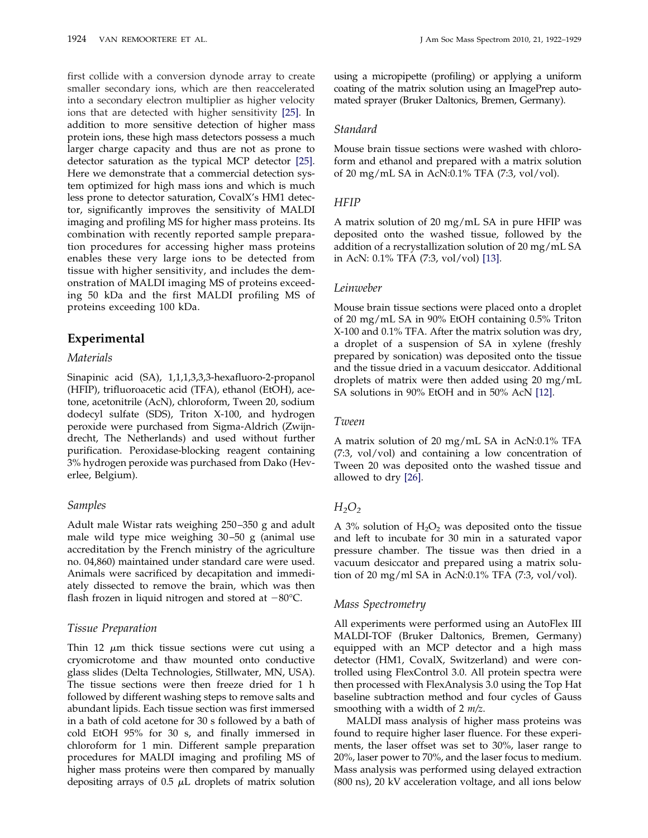first collide with a conversion dynode array to create smaller secondary ions, which are then reaccelerated into a secondary electron multiplier as higher velocity ions that are detected with higher sensitivity [25]. In addition to more sensitive detection of higher mass protein ions, these high mass detectors possess a much larger charge capacity and thus are not as prone to detector saturation as the typical MCP detector [25]. Here we demonstrate that a commercial detection system optimized for high mass ions and which is much less prone to detector saturation, CovalX's HM1 detector, significantly improves the sensitivity of MALDI imaging and profiling MS for higher mass proteins. Its combination with recently reported sample preparation procedures for accessing higher mass proteins enables these very large ions to be detected from tissue with higher sensitivity, and includes the demonstration of MALDI imaging MS of proteins exceeding 50 kDa and the first MALDI profiling MS of proteins exceeding 100 kDa.

# **Experimental**

#### *Materials*

Sinapinic acid (SA), 1,1,1,3,3,3-hexafluoro-2-propanol (HFIP), trifluoroacetic acid (TFA), ethanol (EtOH), acetone, acetonitrile (AcN), chloroform, Tween 20, sodium dodecyl sulfate (SDS), Triton X-100, and hydrogen peroxide were purchased from Sigma-Aldrich (Zwijndrecht, The Netherlands) and used without further purification. Peroxidase-blocking reagent containing 3% hydrogen peroxide was purchased from Dako (Heverlee, Belgium).

# *Samples*

Adult male Wistar rats weighing 250 –350 g and adult male wild type mice weighing  $30-50$  g (animal use accreditation by the French ministry of the agriculture no. 04,860) maintained under standard care were used. Animals were sacrificed by decapitation and immediately dissected to remove the brain, which was then flash frozen in liquid nitrogen and stored at  $-80^{\circ}$ C.

# *Tissue Preparation*

Thin 12  $\mu$ m thick tissue sections were cut using a cryomicrotome and thaw mounted onto conductive glass slides (Delta Technologies, Stillwater, MN, USA). The tissue sections were then freeze dried for 1 h followed by different washing steps to remove salts and abundant lipids. Each tissue section was first immersed in a bath of cold acetone for 30 s followed by a bath of cold EtOH 95% for 30 s, and finally immersed in chloroform for 1 min. Different sample preparation procedures for MALDI imaging and profiling MS of higher mass proteins were then compared by manually depositing arrays of  $0.5 \mu L$  droplets of matrix solution

using a micropipette (profiling) or applying a uniform coating of the matrix solution using an ImagePrep automated sprayer (Bruker Daltonics, Bremen, Germany).

# *Standard*

Mouse brain tissue sections were washed with chloroform and ethanol and prepared with a matrix solution of 20 mg/mL SA in AcN:0.1% TFA (7:3, vol/vol).

# *HFIP*

A matrix solution of 20 mg/mL SA in pure HFIP was deposited onto the washed tissue, followed by the addition of a recrystallization solution of 20 mg/mL SA in AcN: 0.1% TFA (7:3, vol/vol) [13].

# *Leinweber*

Mouse brain tissue sections were placed onto a droplet of 20 mg/mL SA in 90% EtOH containing 0.5% Triton X-100 and 0.1% TFA. After the matrix solution was dry, a droplet of a suspension of SA in xylene (freshly prepared by sonication) was deposited onto the tissue and the tissue dried in a vacuum desiccator. Additional droplets of matrix were then added using 20 mg/mL SA solutions in 90% EtOH and in 50% AcN [12].

#### *Tween*

A matrix solution of 20 mg/mL SA in AcN:0.1% TFA (7:3, vol/vol) and containing a low concentration of Tween 20 was deposited onto the washed tissue and allowed to dry [26].

# $H_2O_2$

A 3% solution of  $H_2O_2$  was deposited onto the tissue and left to incubate for 30 min in a saturated vapor pressure chamber. The tissue was then dried in a vacuum desiccator and prepared using a matrix solution of 20 mg/ml SA in AcN:0.1% TFA (7:3, vol/vol).

# *Mass Spectrometry*

All experiments were performed using an AutoFlex III MALDI-TOF (Bruker Daltonics, Bremen, Germany) equipped with an MCP detector and a high mass detector (HM1, CovalX, Switzerland) and were controlled using FlexControl 3.0. All protein spectra were then processed with FlexAnalysis 3.0 using the Top Hat baseline subtraction method and four cycles of Gauss smoothing with a width of 2 *m/z*.

MALDI mass analysis of higher mass proteins was found to require higher laser fluence. For these experiments, the laser offset was set to 30%, laser range to 20%, laser power to 70%, and the laser focus to medium. Mass analysis was performed using delayed extraction (800 ns), 20 kV acceleration voltage, and all ions below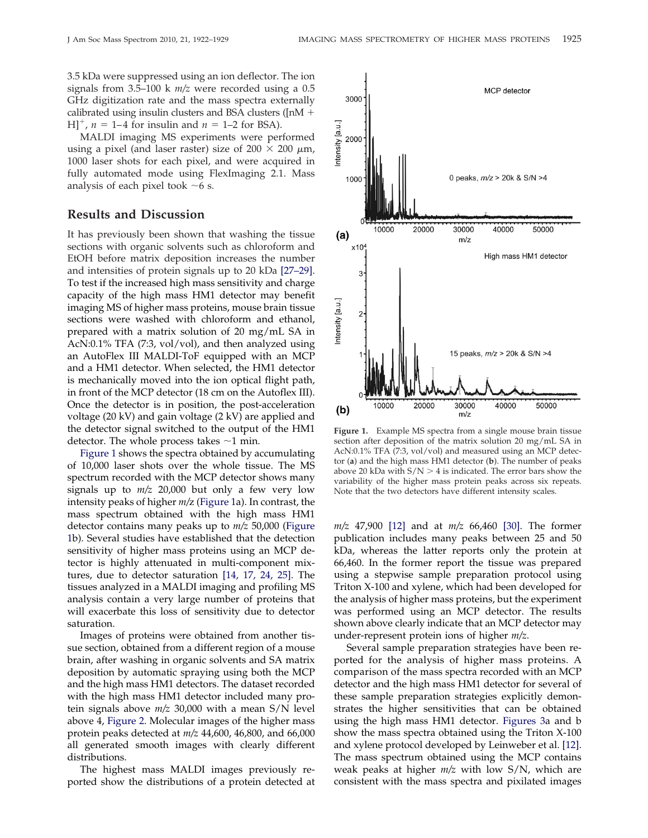3.5 kDa were suppressed using an ion deflector. The ion signals from 3.5–100 k *m/z* were recorded using a 0.5 GHz digitization rate and the mass spectra externally calibrated using insulin clusters and BSA clusters ( ${\rm [nM +}$  $[H]^+$ ,  $n = 1-4$  for insulin and  $n = 1-2$  for BSA).

MALDI imaging MS experiments were performed using a pixel (and laser raster) size of  $200 \times 200 \mu m$ , 1000 laser shots for each pixel, and were acquired in fully automated mode using FlexImaging 2.1. Mass analysis of each pixel took  $\sim$  6 s.

#### **Results and Discussion**

It has previously been shown that washing the tissue sections with organic solvents such as chloroform and EtOH before matrix deposition increases the number and intensities of protein signals up to 20 kDa [27–29]. To test if the increased high mass sensitivity and charge capacity of the high mass HM1 detector may benefit imaging MS of higher mass proteins, mouse brain tissue sections were washed with chloroform and ethanol, prepared with a matrix solution of 20 mg/mL SA in AcN:0.1% TFA (7:3, vol/vol), and then analyzed using an AutoFlex III MALDI-ToF equipped with an MCP and a HM1 detector. When selected, the HM1 detector is mechanically moved into the ion optical flight path, in front of the MCP detector (18 cm on the Autoflex III). Once the detector is in position, the post-acceleration voltage (20 kV) and gain voltage (2 kV) are applied and the detector signal switched to the output of the HM1 detector. The whole process takes  $\sim$ 1 min.

Figure 1 shows the spectra obtained by accumulating of 10,000 laser shots over the whole tissue. The MS spectrum recorded with the MCP detector shows many signals up to *m/z* 20,000 but only a few very low intensity peaks of higher *m/*z (Figure 1a). In contrast, the mass spectrum obtained with the high mass HM1 detector contains many peaks up to *m/z* 50,000 (Figure 1b). Several studies have established that the detection sensitivity of higher mass proteins using an MCP detector is highly attenuated in multi-component mixtures, due to detector saturation [14, 17, 24, 25]. The tissues analyzed in a MALDI imaging and profiling MS analysis contain a very large number of proteins that will exacerbate this loss of sensitivity due to detector saturation.

Images of proteins were obtained from another tissue section, obtained from a different region of a mouse brain, after washing in organic solvents and SA matrix deposition by automatic spraying using both the MCP and the high mass HM1 detectors. The dataset recorded with the high mass HM1 detector included many protein signals above *m/z* 30,000 with a mean S/N level above 4, Figure 2. Molecular images of the higher mass protein peaks detected at *m/z* 44,600, 46,800, and 66,000 all generated smooth images with clearly different distributions.

The highest mass MALDI images previously reported show the distributions of a protein detected at



**Figure 1.** Example MS spectra from a single mouse brain tissue section after deposition of the matrix solution 20 mg/mL SA in AcN:0.1% TFA (7:3, vol/vol) and measured using an MCP detector (**a**) and the high mass HM1 detector (**b**). The number of peaks above 20 kDa with  $S/N > 4$  is indicated. The error bars show the variability of the higher mass protein peaks across six repeats. Note that the two detectors have different intensity scales.

*m/z* 47,900 [12] and at *m/z* 66,460 [30]. The former publication includes many peaks between 25 and 50 kDa, whereas the latter reports only the protein at 66,460. In the former report the tissue was prepared using a stepwise sample preparation protocol using Triton X-100 and xylene, which had been developed for the analysis of higher mass proteins, but the experiment was performed using an MCP detector. The results shown above clearly indicate that an MCP detector may under-represent protein ions of higher *m/z*.

Several sample preparation strategies have been reported for the analysis of higher mass proteins. A comparison of the mass spectra recorded with an MCP detector and the high mass HM1 detector for several of these sample preparation strategies explicitly demonstrates the higher sensitivities that can be obtained using the high mass HM1 detector. Figures 3a and b show the mass spectra obtained using the Triton X-100 and xylene protocol developed by Leinweber et al. [12]. The mass spectrum obtained using the MCP contains weak peaks at higher *m/z* with low S/N, which are consistent with the mass spectra and pixilated images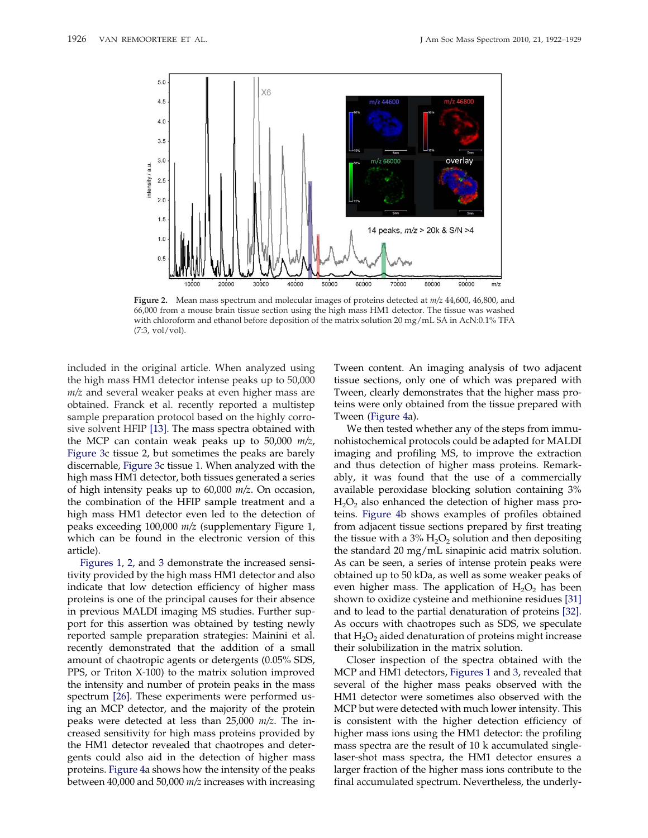

**Figure 2.** Mean mass spectrum and molecular images of proteins detected at *m/z* 44,600, 46,800, and 66,000 from a mouse brain tissue section using the high mass HM1 detector. The tissue was washed with chloroform and ethanol before deposition of the matrix solution 20 mg/mL SA in AcN:0.1% TFA (7:3, vol/vol).

included in the original article. When analyzed using the high mass HM1 detector intense peaks up to 50,000 *m/z* and several weaker peaks at even higher mass are obtained. Franck et al. recently reported a multistep sample preparation protocol based on the highly corrosive solvent HFIP [13]. The mass spectra obtained with the MCP can contain weak peaks up to 50,000 *m/z*, Figure 3c tissue 2, but sometimes the peaks are barely discernable, Figure 3c tissue 1. When analyzed with the high mass HM1 detector, both tissues generated a series of high intensity peaks up to 60,000 *m/z*. On occasion, the combination of the HFIP sample treatment and a high mass HM1 detector even led to the detection of peaks exceeding 100,000 *m/z* (supplementary Figure 1, which can be found in the electronic version of this article).

Figures 1, 2, and 3 demonstrate the increased sensitivity provided by the high mass HM1 detector and also indicate that low detection efficiency of higher mass proteins is one of the principal causes for their absence in previous MALDI imaging MS studies. Further support for this assertion was obtained by testing newly reported sample preparation strategies: Mainini et al. recently demonstrated that the addition of a small amount of chaotropic agents or detergents (0.05% SDS, PPS, or Triton X-100) to the matrix solution improved the intensity and number of protein peaks in the mass spectrum [26]. These experiments were performed using an MCP detector, and the majority of the protein peaks were detected at less than 25,000 *m/z*. The increased sensitivity for high mass proteins provided by the HM1 detector revealed that chaotropes and detergents could also aid in the detection of higher mass proteins. Figure 4a shows how the intensity of the peaks between 40,000 and 50,000 *m/z* increases with increasing

Tween content. An imaging analysis of two adjacent tissue sections, only one of which was prepared with Tween, clearly demonstrates that the higher mass proteins were only obtained from the tissue prepared with Tween (Figure 4a).

We then tested whether any of the steps from immunohistochemical protocols could be adapted for MALDI imaging and profiling MS, to improve the extraction and thus detection of higher mass proteins. Remarkably, it was found that the use of a commercially available peroxidase blocking solution containing 3%  $H_2O_2$  also enhanced the detection of higher mass proteins. Figure 4b shows examples of profiles obtained from adjacent tissue sections prepared by first treating the tissue with a  $3\%$  H<sub>2</sub>O<sub>2</sub> solution and then depositing the standard 20 mg/mL sinapinic acid matrix solution. As can be seen, a series of intense protein peaks were obtained up to 50 kDa, as well as some weaker peaks of even higher mass. The application of  $H_2O_2$  has been shown to oxidize cysteine and methionine residues [31] and to lead to the partial denaturation of proteins [32]. As occurs with chaotropes such as SDS, we speculate that  $H_2O_2$  aided denaturation of proteins might increase their solubilization in the matrix solution.

Closer inspection of the spectra obtained with the MCP and HM1 detectors, Figures 1 and 3, revealed that several of the higher mass peaks observed with the HM1 detector were sometimes also observed with the MCP but were detected with much lower intensity. This is consistent with the higher detection efficiency of higher mass ions using the HM1 detector: the profiling mass spectra are the result of 10 k accumulated singlelaser-shot mass spectra, the HM1 detector ensures a larger fraction of the higher mass ions contribute to the final accumulated spectrum. Nevertheless, the underly-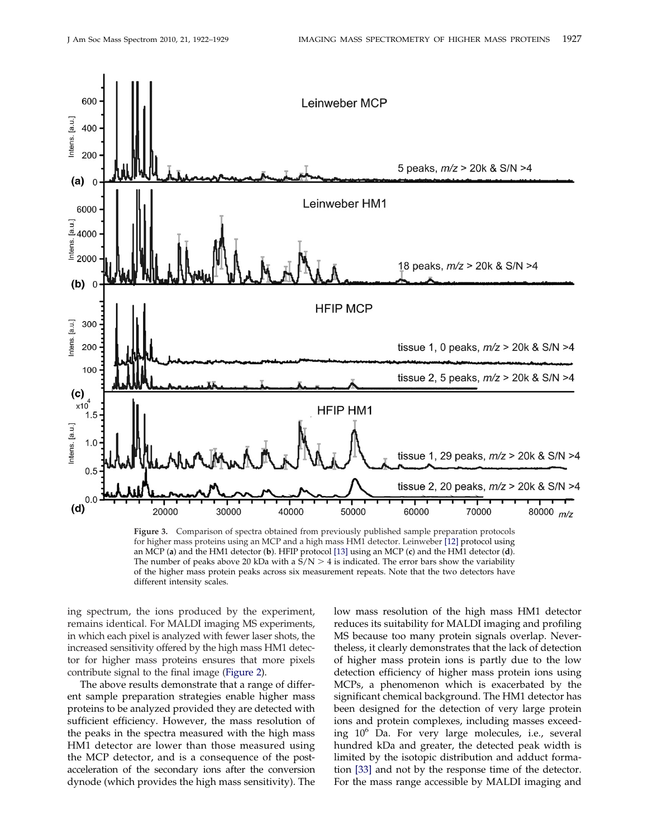

**Figure 3.** Comparison of spectra obtained from previously published sample preparation protocols for higher mass proteins using an MCP and a high mass HM1 detector. Leinweber [12] protocol using an MCP (**a**) and the HM1 detector (**b**). HFIP protocol [13] using an MCP (**c**) and the HM1 detector (**d**). The number of peaks above 20 kDa with a  $S/N > 4$  is indicated. The error bars show the variability of the higher mass protein peaks across six measurement repeats. Note that the two detectors have different intensity scales.

ing spectrum, the ions produced by the experiment, remains identical. For MALDI imaging MS experiments, in which each pixel is analyzed with fewer laser shots, the increased sensitivity offered by the high mass HM1 detector for higher mass proteins ensures that more pixels contribute signal to the final image (Figure 2).

The above results demonstrate that a range of different sample preparation strategies enable higher mass proteins to be analyzed provided they are detected with sufficient efficiency. However, the mass resolution of the peaks in the spectra measured with the high mass HM1 detector are lower than those measured using the MCP detector, and is a consequence of the postacceleration of the secondary ions after the conversion dynode (which provides the high mass sensitivity). The

low mass resolution of the high mass HM1 detector reduces its suitability for MALDI imaging and profiling MS because too many protein signals overlap. Nevertheless, it clearly demonstrates that the lack of detection of higher mass protein ions is partly due to the low detection efficiency of higher mass protein ions using MCPs, a phenomenon which is exacerbated by the significant chemical background. The HM1 detector has been designed for the detection of very large protein ions and protein complexes, including masses exceeding 10<sup>6</sup> Da. For very large molecules, i.e., several hundred kDa and greater, the detected peak width is limited by the isotopic distribution and adduct formation [33] and not by the response time of the detector. For the mass range accessible by MALDI imaging and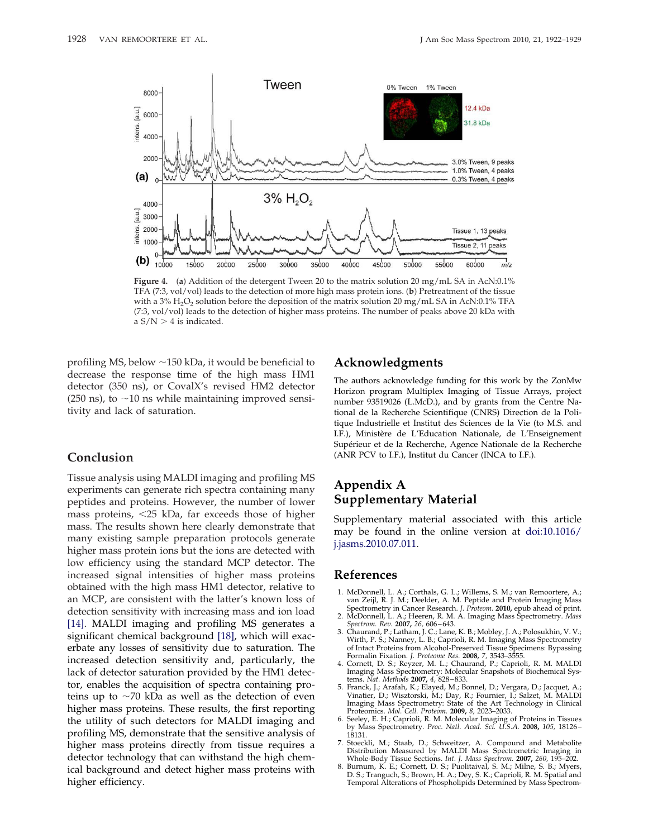

**Figure 4.** (a) Addition of the detergent Tween 20 to the matrix solution 20 mg/mL SA in AcN:0.1% TFA (7:3, vol/vol) leads to the detection of more high mass protein ions. (**b**) Pretreatment of the tissue with a 3%  $H_2O_2$  solution before the deposition of the matrix solution 20 mg/mL SA in AcN:0.1% TFA (7:3, vol/vol) leads to the detection of higher mass proteins. The number of peaks above 20 kDa with a  $S/N > 4$  is indicated.

profiling MS, below  $\sim$ 150 kDa, it would be beneficial to decrease the response time of the high mass HM1 detector (350 ns), or CovalX's revised HM2 detector (250 ns), to  $\sim$ 10 ns while maintaining improved sensitivity and lack of saturation.

# **Conclusion**

Tissue analysis using MALDI imaging and profiling MS experiments can generate rich spectra containing many peptides and proteins. However, the number of lower mass proteins, 25 kDa, far exceeds those of higher mass. The results shown here clearly demonstrate that many existing sample preparation protocols generate higher mass protein ions but the ions are detected with low efficiency using the standard MCP detector. The increased signal intensities of higher mass proteins obtained with the high mass HM1 detector, relative to an MCP, are consistent with the latter's known loss of detection sensitivity with increasing mass and ion load [14]. MALDI imaging and profiling MS generates a significant chemical background [18], which will exacerbate any losses of sensitivity due to saturation. The increased detection sensitivity and, particularly, the lack of detector saturation provided by the HM1 detector, enables the acquisition of spectra containing proteins up to  $\sim$ 70 kDa as well as the detection of even higher mass proteins. These results, the first reporting the utility of such detectors for MALDI imaging and profiling MS, demonstrate that the sensitive analysis of higher mass proteins directly from tissue requires a detector technology that can withstand the high chemical background and detect higher mass proteins with higher efficiency.

#### **Acknowledgments**

The authors acknowledge funding for this work by the ZonMw Horizon program Multiplex Imaging of Tissue Arrays, project number 93519026 (L.McD.), and by grants from the Centre National de la Recherche Scientifique (CNRS) Direction de la Politique Industrielle et Institut des Sciences de la Vie (to M.S. and I.F.), Ministère de L'Education Nationale, de L'Enseignement Supérieur et de la Recherche, Agence Nationale de la Recherche (ANR PCV to I.F.), Institut du Cancer (INCA to I.F.).

# **Appendix A Supplementary Material**

Supplementary material associated with this article may be found in the online version at doi:10.1016/ j.jasms.2010.07.011.

# **References**

- 1. McDonnell, L. A.; Corthals, G. L.; Willems, S. M.; van Remoortere, A.; van Zeijl, R. J. M.; Deelder, A. M. Peptide and Protein Imaging Mass pectrometry in Cancer Research. *J. Proteom.* 2010, epub ahead of print.
- 2. McDonnell, L. A.; Heeren, R. M. A. Imaging Mass Spectrometry. *Mass Spectrom. Rev.* **2007,** *26,* 606 643.
- 3. Chaurand, P.; Latham, J. C.; Lane, K. B.; Mobley, J. A.; Polosukhin, V. V.; Wirth, P. S.; Nanney, L. B.; Caprioli, R. M. Imaging Mass Spectrometry of Intact Proteins from Alcohol-Preserved Tissue Specimens: Bypassing
- Formalin Fixation. *J. Proteome Res.* **2008,** *7,* 3543–3555. 4. Cornett, D. S.; Reyzer, M. L.; Chaurand, P.; Caprioli, R. M. MALDI Imaging Mass Spectrometry: Molecular Snapshots of Biochemical Sys-tems. *Nat. Methods* **2007,** *4,* 828 – 833.
- 5. Franck, J.; Arafah, K.; Elayed, M.; Bonnel, D.; Vergara, D.; Jacquet, A.; Vinatier, D.; Wisztorski, M.; Day, R.; Fournier, I.; Salzet, M. MALDI Imaging Mass Spectrometry: State of the Art Technology in Clinical
- Proteomics. *Mol. Cell. Proteom.* **2009,** 8, 2023-2033.<br>6. Seeley, E. H.; Caprioli, R. M. Molecular Imaging of Proteins in Tissues<br>by Mass Spectrometry. Proc. Natl. Acad. Sci. U.S.A. **2008,** 105, 18126-18131.
- 7. Stoeckli, M.; Staab, D.; Schweitzer, A. Compound and Metabolite Distribution Measured by MALDI Mass Spectrometric Imaging in Whole-Body Tissue Sections. *Int. J. Mass Spectrom.* **2007,** *260,* 195–202.
- 8. Burnum, K. E.; Cornett, D. S.; Puolitaival, S. M.; Milne, S. B.; Myers, D. S.; Tranguch, S.; Brown, H. A.; Dey, S. K.; Caprioli, R. M. Spatial and Temporal Alterations of Phospholipids Determined by Mass Spectrom-